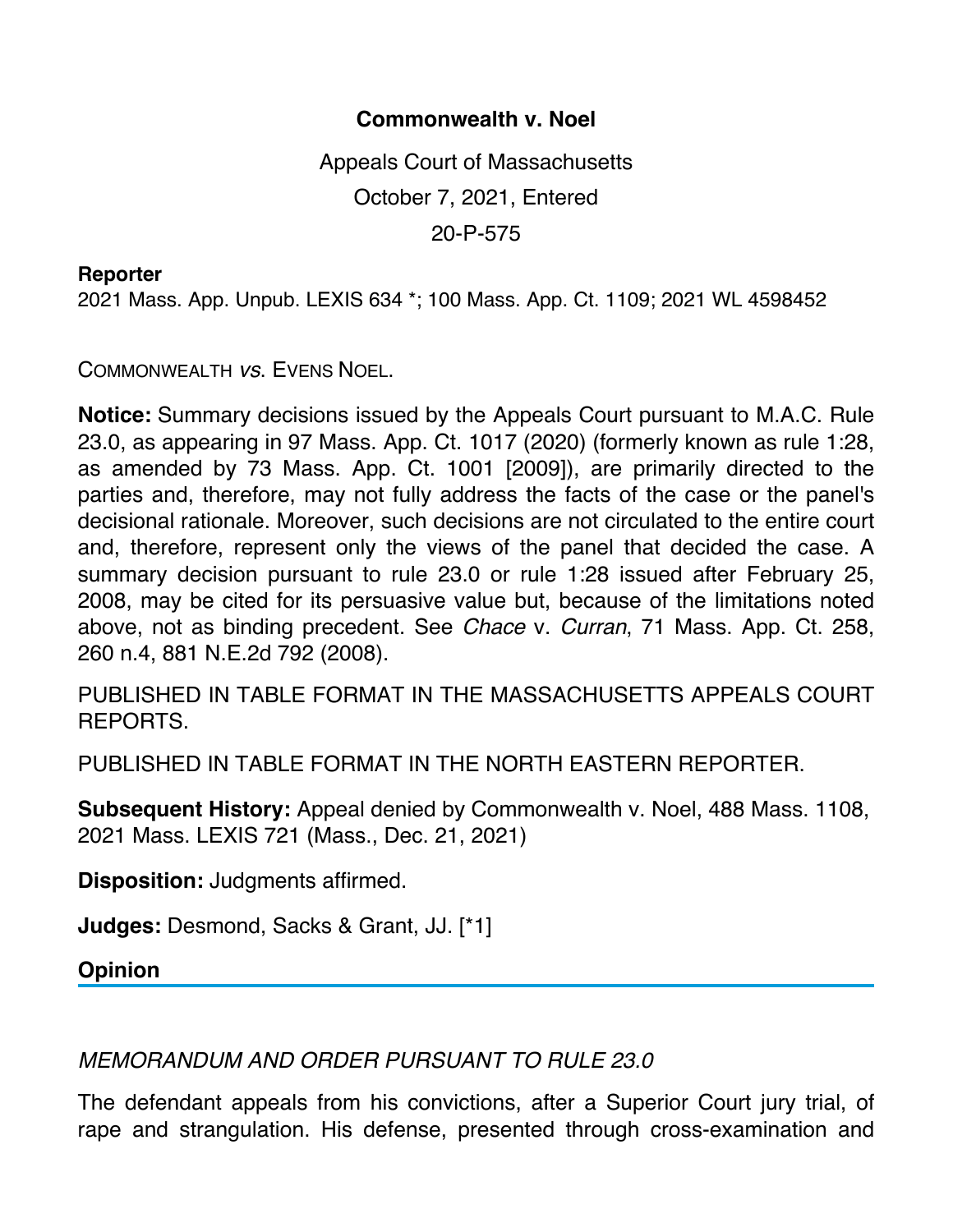## **Commonwealth v. Noel**

Appeals Court of Massachusetts October 7, 2021, Entered 20-P-575

## **Reporter**

2021 Mass. App. Unpub. LEXIS 634 \*; 100 Mass. App. Ct. 1109; 2021 WL 4598452

COMMONWEALTH *vs*. EVENS NOEL.

**Notice:** Summary decisions issued by the Appeals Court pursuant to M.A.C. Rule 23.0, as appearing in 97 Mass. App. Ct. 1017 (2020) (formerly known as rule 1:28, as amended by 73 Mass. App. Ct. 1001 [2009]), are primarily directed to the parties and, therefore, may not fully address the facts of the case or the panel's decisional rationale. Moreover, such decisions are not circulated to the entire court and, therefore, represent only the views of the panel that decided the case. A summary decision pursuant to rule 23.0 or rule 1:28 issued after February 25, 2008, may be cited for its persuasive value but, because of the limitations noted above, not as binding precedent. See *Chace* v. *Curran*, 71 Mass. App. Ct. 258, 260 n.4, 881 N.E.2d 792 (2008).

PUBLISHED IN TABLE FORMAT IN THE MASSACHUSETTS APPEALS COURT REPORTS.

PUBLISHED IN TABLE FORMAT IN THE NORTH EASTERN REPORTER.

**Subsequent History:** Appeal denied by Commonwealth v. Noel, 488 Mass. 1108, 2021 Mass. LEXIS 721 (Mass., Dec. 21, 2021)

**Disposition:** Judgments affirmed.

**Judges:** Desmond, Sacks & Grant, JJ. [\*1]

**Opinion**

*MEMORANDUM AND ORDER PURSUANT TO RULE 23.0*

The defendant appeals from his convictions, after a Superior Court jury trial, of rape and strangulation. His defense, presented through cross-examination and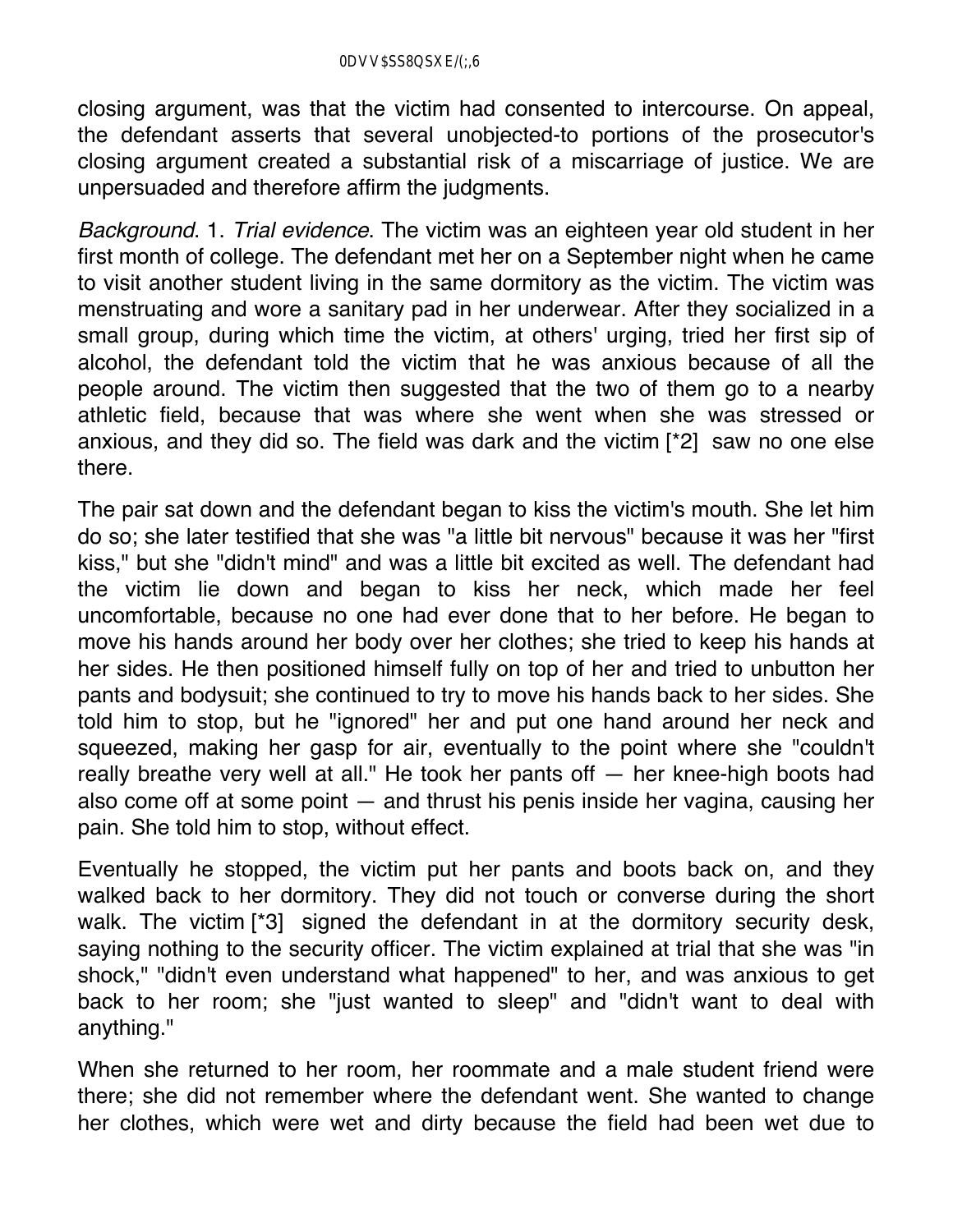closing argument, was that the victim had consented to intercourse. On appeal, the defendant asserts that several unobjected-to portions of the prosecutor's closing argument created a substantial risk of a miscarriage of justice. We are unpersuaded and therefore affirm the judgments.

*Background*. 1. *Trial evidence*. The victim was an eighteen year old student in her first month of college. The defendant met her on a September night when he came to visit another student living in the same dormitory as the victim. The victim was menstruating and wore a sanitary pad in her underwear. After they socialized in a small group, during which time the victim, at others' urging, tried her first sip of alcohol, the defendant told the victim that he was anxious because of all the people around. The victim then suggested that the two of them go to a nearby athletic field, because that was where she went when she was stressed or anxious, and they did so. The field was dark and the victim [\*2] saw no one else there.

The pair sat down and the defendant began to kiss the victim's mouth. She let him do so; she later testified that she was "a little bit nervous" because it was her "first kiss," but she "didn't mind" and was a little bit excited as well. The defendant had the victim lie down and began to kiss her neck, which made her feel uncomfortable, because no one had ever done that to her before. He began to move his hands around her body over her clothes; she tried to keep his hands at her sides. He then positioned himself fully on top of her and tried to unbutton her pants and bodysuit; she continued to try to move his hands back to her sides. She told him to stop, but he "ignored" her and put one hand around her neck and squeezed, making her gasp for air, eventually to the point where she "couldn't really breathe very well at all." He took her pants off — her knee-high boots had also come off at some point — and thrust his penis inside her vagina, causing her pain. She told him to stop, without effect.

Eventually he stopped, the victim put her pants and boots back on, and they walked back to her dormitory. They did not touch or converse during the short walk. The victim [\*3] signed the defendant in at the dormitory security desk, saying nothing to the security officer. The victim explained at trial that she was "in shock," "didn't even understand what happened" to her, and was anxious to get back to her room; she "just wanted to sleep" and "didn't want to deal with anything."

When she returned to her room, her roommate and a male student friend were there; she did not remember where the defendant went. She wanted to change her clothes, which were wet and dirty because the field had been wet due to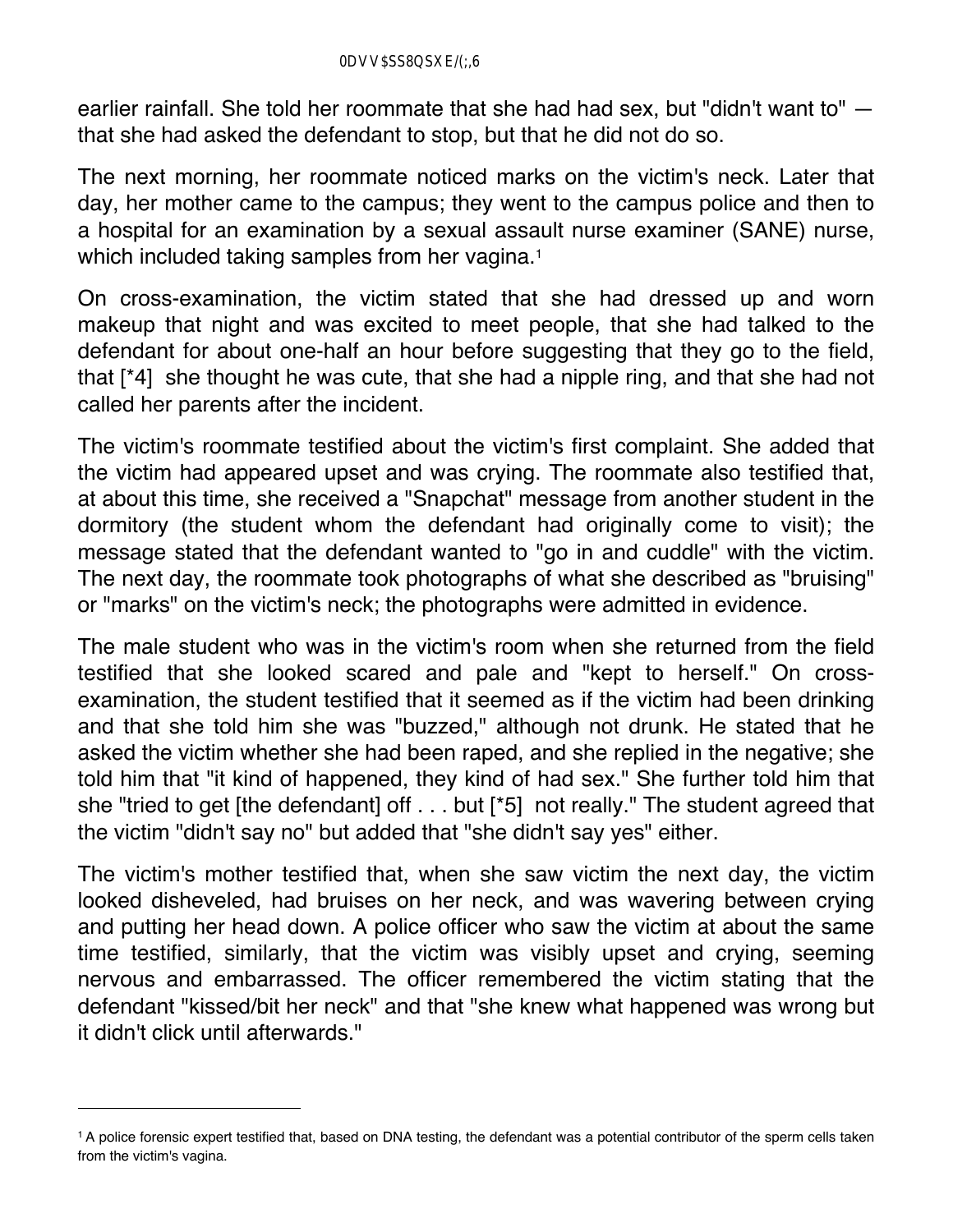earlier rainfall. She told her roommate that she had had sex, but "didn't want to" that she had asked the defendant to stop, but that he did not do so.

The next morning, her roommate noticed marks on the victim's neck. Later that day, her mother came to the campus; they went to the campus police and then to a hospital for an examination by a sexual assault nurse examiner (SANE) nurse, which included taking samples from her vagina.<sup>1</sup>

On cross-examination, the victim stated that she had dressed up and worn makeup that night and was excited to meet people, that she had talked to the defendant for about one-half an hour before suggesting that they go to the field, that [\*4] she thought he was cute, that she had a nipple ring, and that she had not called her parents after the incident.

The victim's roommate testified about the victim's first complaint. She added that the victim had appeared upset and was crying. The roommate also testified that, at about this time, she received a "Snapchat" message from another student in the dormitory (the student whom the defendant had originally come to visit); the message stated that the defendant wanted to "go in and cuddle" with the victim. The next day, the roommate took photographs of what she described as "bruising" or "marks" on the victim's neck; the photographs were admitted in evidence.

The male student who was in the victim's room when she returned from the field testified that she looked scared and pale and "kept to herself." On crossexamination, the student testified that it seemed as if the victim had been drinking and that she told him she was "buzzed," although not drunk. He stated that he asked the victim whether she had been raped, and she replied in the negative; she told him that "it kind of happened, they kind of had sex." She further told him that she "tried to get [the defendant] off . . . but [\*5] not really." The student agreed that the victim "didn't say no" but added that "she didn't say yes" either.

The victim's mother testified that, when she saw victim the next day, the victim looked disheveled, had bruises on her neck, and was wavering between crying and putting her head down. A police officer who saw the victim at about the same time testified, similarly, that the victim was visibly upset and crying, seeming nervous and embarrassed. The officer remembered the victim stating that the defendant "kissed/bit her neck" and that "she knew what happened was wrong but it didn't click until afterwards."

<sup>1</sup> A police forensic expert testified that, based on DNA testing, the defendant was a potential contributor of the sperm cells taken from the victim's vagina.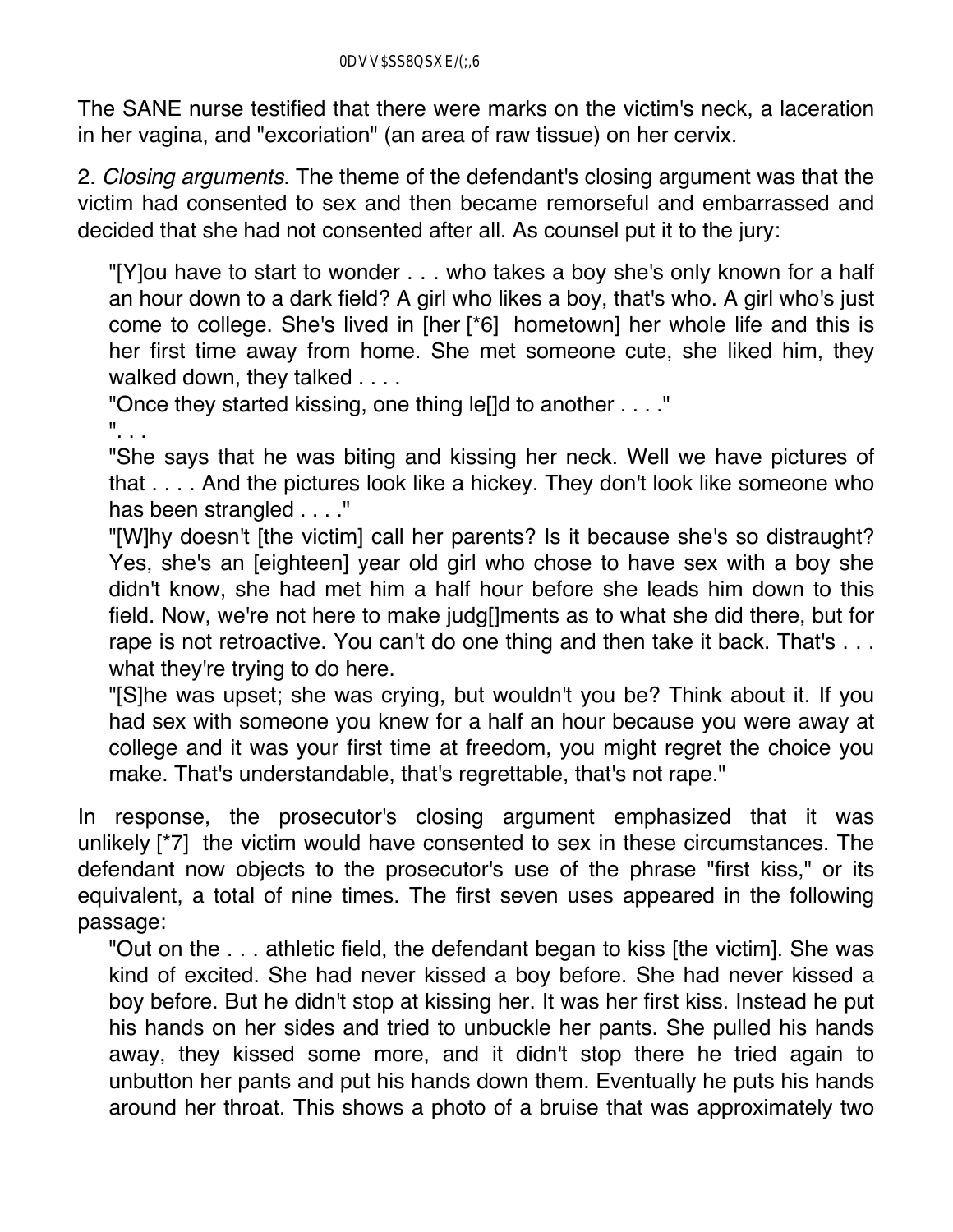The SANE nurse testified that there were marks on the victim's neck, a laceration in her vagina, and "excoriation" (an area of raw tissue) on her cervix.

2. *Closing arguments*. The theme of the defendant's closing argument was that the victim had consented to sex and then became remorseful and embarrassed and decided that she had not consented after all. As counsel put it to the jury:

"[Y]ou have to start to wonder . . . who takes a boy she's only known for a half an hour down to a dark field? A girl who likes a boy, that's who. A girl who's just come to college. She's lived in [her [\*6] hometown] her whole life and this is her first time away from home. She met someone cute, she liked him, they walked down, they talked . . . .

"Once they started kissing, one thing le[]d to another . . . ." ". . .

"She says that he was biting and kissing her neck. Well we have pictures of that . . . . And the pictures look like a hickey. They don't look like someone who has been strangled . . . ."

"[W]hy doesn't [the victim] call her parents? Is it because she's so distraught? Yes, she's an [eighteen] year old girl who chose to have sex with a boy she didn't know, she had met him a half hour before she leads him down to this field. Now, we're not here to make judg[]ments as to what she did there, but for rape is not retroactive. You can't do one thing and then take it back. That's . . . what they're trying to do here.

"[S]he was upset; she was crying, but wouldn't you be? Think about it. If you had sex with someone you knew for a half an hour because you were away at college and it was your first time at freedom, you might regret the choice you make. That's understandable, that's regrettable, that's not rape."

In response, the prosecutor's closing argument emphasized that it was unlikely [\*7] the victim would have consented to sex in these circumstances. The defendant now objects to the prosecutor's use of the phrase "first kiss," or its equivalent, a total of nine times. The first seven uses appeared in the following passage:

"Out on the . . . athletic field, the defendant began to kiss [the victim]. She was kind of excited. She had never kissed a boy before. She had never kissed a boy before. But he didn't stop at kissing her. It was her first kiss. Instead he put his hands on her sides and tried to unbuckle her pants. She pulled his hands away, they kissed some more, and it didn't stop there he tried again to unbutton her pants and put his hands down them. Eventually he puts his hands around her throat. This shows a photo of a bruise that was approximately two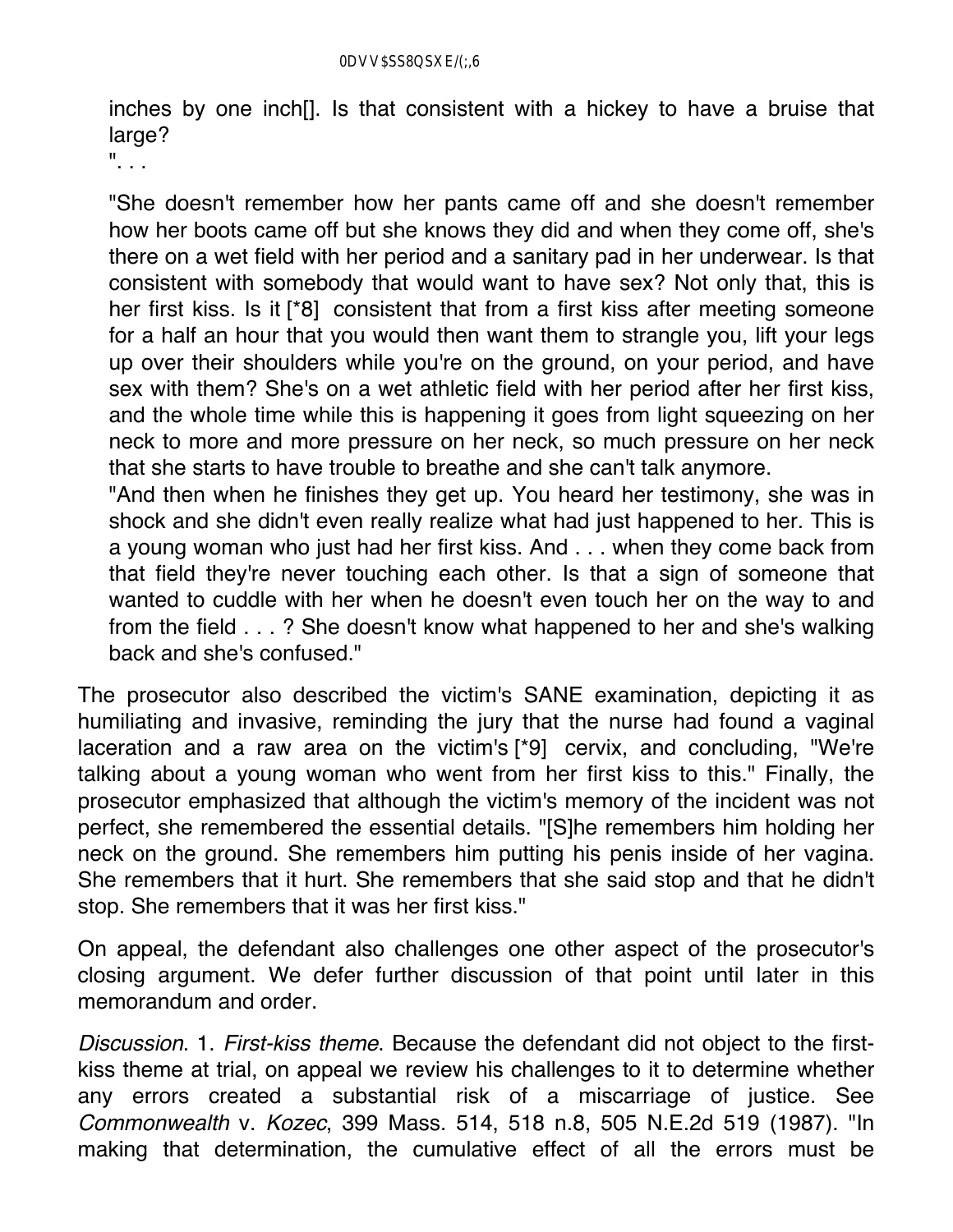inches by one inch[]. Is that consistent with a hickey to have a bruise that large?

". . .

"She doesn't remember how her pants came off and she doesn't remember how her boots came off but she knows they did and when they come off, she's there on a wet field with her period and a sanitary pad in her underwear. Is that consistent with somebody that would want to have sex? Not only that, this is her first kiss. Is it [\*8] consistent that from a first kiss after meeting someone for a half an hour that you would then want them to strangle you, lift your legs up over their shoulders while you're on the ground, on your period, and have sex with them? She's on a wet athletic field with her period after her first kiss, and the whole time while this is happening it goes from light squeezing on her neck to more and more pressure on her neck, so much pressure on her neck that she starts to have trouble to breathe and she can't talk anymore.

"And then when he finishes they get up. You heard her testimony, she was in shock and she didn't even really realize what had just happened to her. This is a young woman who just had her first kiss. And . . . when they come back from that field they're never touching each other. Is that a sign of someone that wanted to cuddle with her when he doesn't even touch her on the way to and from the field . . . ? She doesn't know what happened to her and she's walking back and she's confused."

The prosecutor also described the victim's SANE examination, depicting it as humiliating and invasive, reminding the jury that the nurse had found a vaginal laceration and a raw area on the victim's [\*9] cervix, and concluding, "We're talking about a young woman who went from her first kiss to this." Finally, the prosecutor emphasized that although the victim's memory of the incident was not perfect, she remembered the essential details. "[S]he remembers him holding her neck on the ground. She remembers him putting his penis inside of her vagina. She remembers that it hurt. She remembers that she said stop and that he didn't stop. She remembers that it was her first kiss."

On appeal, the defendant also challenges one other aspect of the prosecutor's closing argument. We defer further discussion of that point until later in this memorandum and order.

*Discussion*. 1. *First-kiss theme*. Because the defendant did not object to the firstkiss theme at trial, on appeal we review his challenges to it to determine whether any errors created a substantial risk of a miscarriage of justice. See *Commonwealth* v. *Kozec*, 399 Mass. 514, 518 n.8, 505 N.E.2d 519 (1987). "In making that determination, the cumulative effect of all the errors must be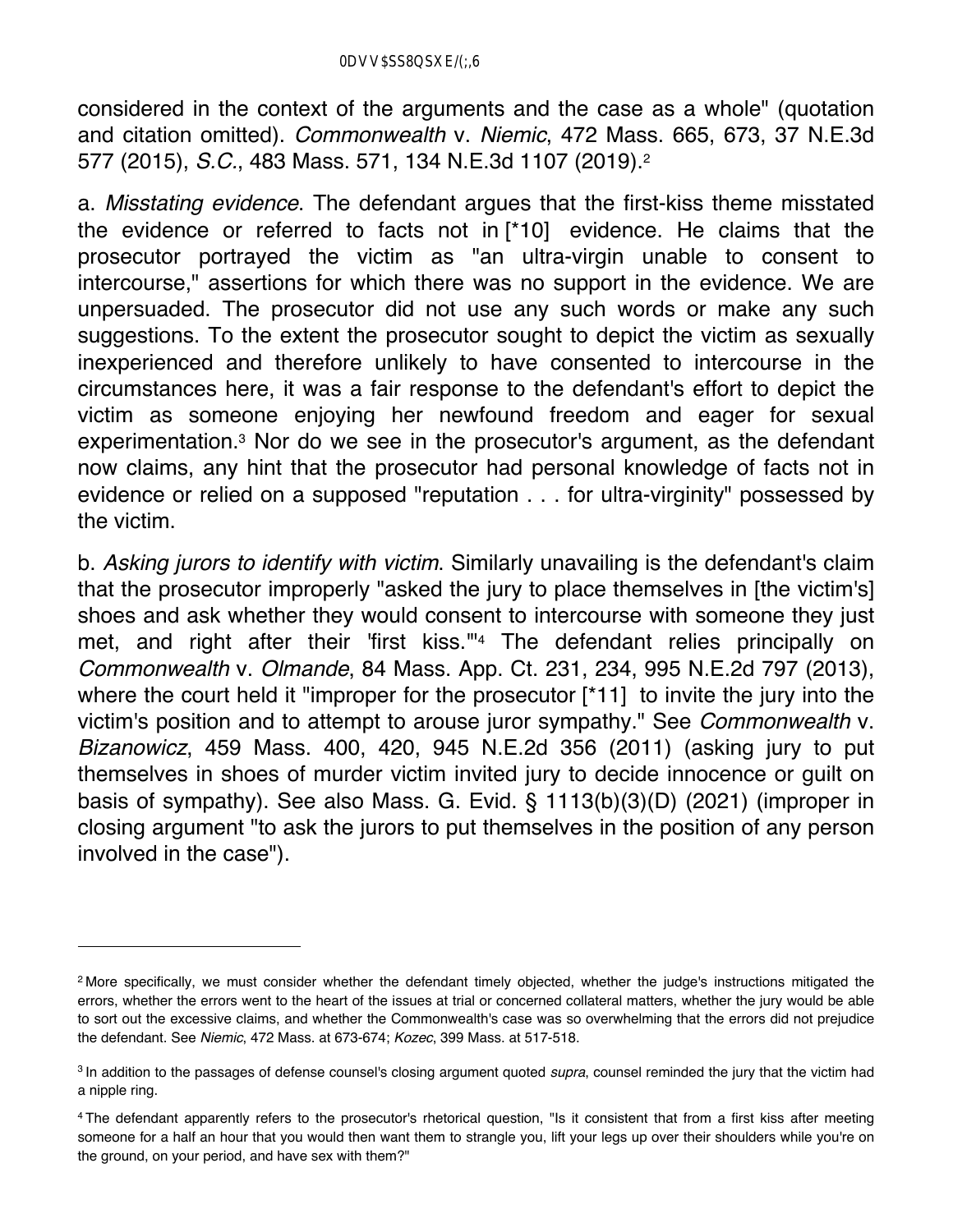considered in the context of the arguments and the case as a whole" (quotation and citation omitted). *Commonwealth* v. *Niemic*, 472 Mass. 665, 673, 37 N.E.3d 577 (2015), *S.C.*, 483 Mass. 571, 134 N.E.3d 1107 (2019).2

a. *Misstating evidence*. The defendant argues that the first-kiss theme misstated the evidence or referred to facts not in [\*10] evidence. He claims that the prosecutor portrayed the victim as "an ultra-virgin unable to consent to intercourse," assertions for which there was no support in the evidence. We are unpersuaded. The prosecutor did not use any such words or make any such suggestions. To the extent the prosecutor sought to depict the victim as sexually inexperienced and therefore unlikely to have consented to intercourse in the circumstances here, it was a fair response to the defendant's effort to depict the victim as someone enjoying her newfound freedom and eager for sexual experimentation.3 Nor do we see in the prosecutor's argument, as the defendant now claims, any hint that the prosecutor had personal knowledge of facts not in evidence or relied on a supposed "reputation . . . for ultra-virginity" possessed by the victim.

b. *Asking jurors to identify with victim*. Similarly unavailing is the defendant's claim that the prosecutor improperly "asked the jury to place themselves in [the victim's] shoes and ask whether they would consent to intercourse with someone they just met, and right after their 'first kiss."<sup>4</sup> The defendant relies principally on *Commonwealth* v. *Olmande*, 84 Mass. App. Ct. 231, 234, 995 N.E.2d 797 (2013), where the court held it "improper for the prosecutor [\*11] to invite the jury into the victim's position and to attempt to arouse juror sympathy." See *Commonwealth* v. *Bizanowicz*, 459 Mass. 400, 420, 945 N.E.2d 356 (2011) (asking jury to put themselves in shoes of murder victim invited jury to decide innocence or guilt on basis of sympathy). See also Mass. G. Evid. § 1113(b)(3)(D) (2021) (improper in closing argument "to ask the jurors to put themselves in the position of any person involved in the case").

<sup>2</sup> More specifically, we must consider whether the defendant timely objected, whether the judge's instructions mitigated the errors, whether the errors went to the heart of the issues at trial or concerned collateral matters, whether the jury would be able to sort out the excessive claims, and whether the Commonwealth's case was so overwhelming that the errors did not prejudice the defendant. See *Niemic*, 472 Mass. at 673-674; *Kozec*, 399 Mass. at 517-518.

<sup>3</sup> In addition to the passages of defense counsel's closing argument quoted *supra*, counsel reminded the jury that the victim had a nipple ring.

<sup>4</sup> The defendant apparently refers to the prosecutor's rhetorical question, "Is it consistent that from a first kiss after meeting someone for a half an hour that you would then want them to strangle you, lift your legs up over their shoulders while you're on the ground, on your period, and have sex with them?"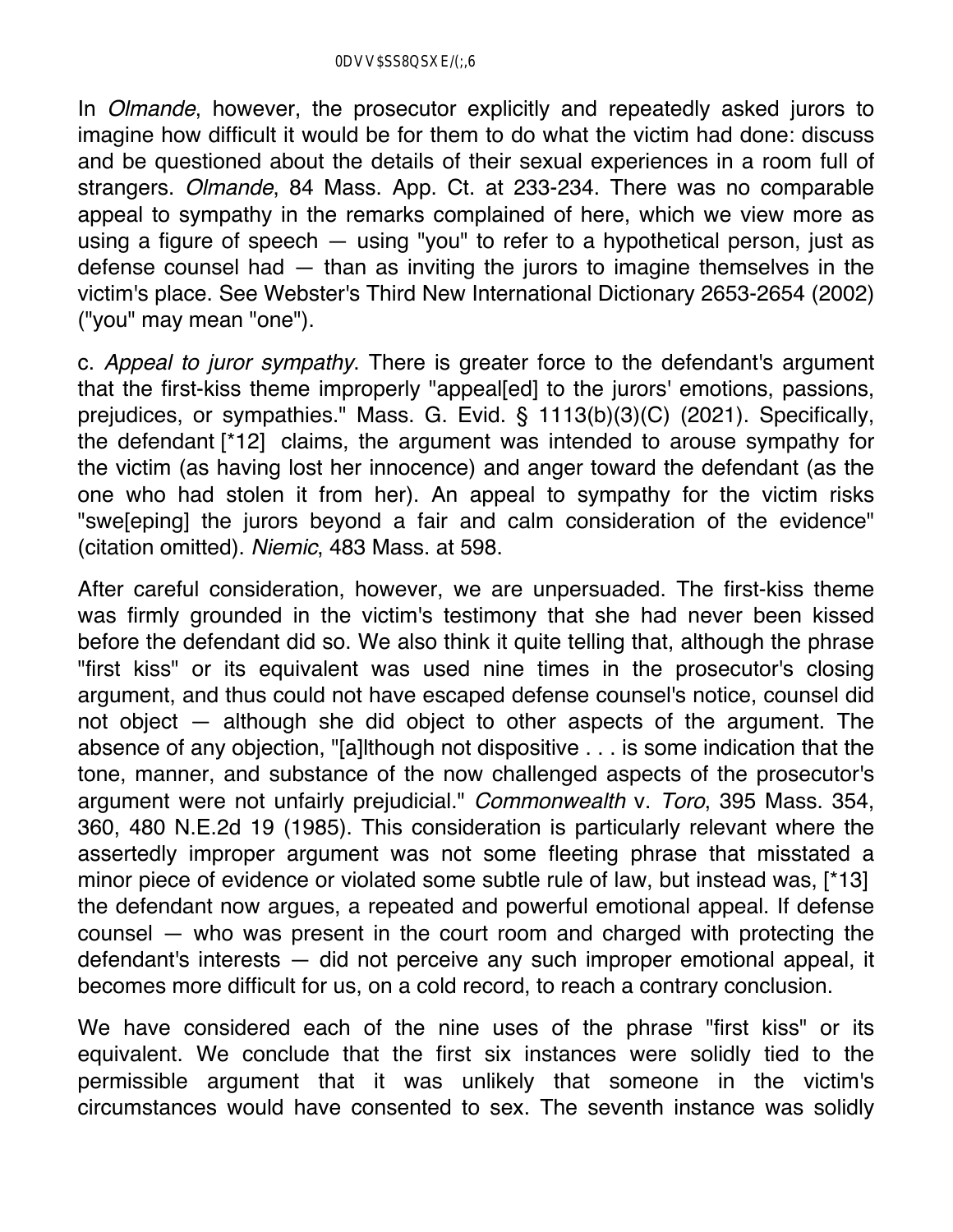In *Olmande*, however, the prosecutor explicitly and repeatedly asked jurors to imagine how difficult it would be for them to do what the victim had done: discuss and be questioned about the details of their sexual experiences in a room full of strangers. *Olmande*, 84 Mass. App. Ct. at 233-234. There was no comparable appeal to sympathy in the remarks complained of here, which we view more as using a figure of speech — using "you" to refer to a hypothetical person, just as defense counsel had — than as inviting the jurors to imagine themselves in the victim's place. See Webster's Third New International Dictionary 2653-2654 (2002) ("you" may mean "one").

c. *Appeal to juror sympathy*. There is greater force to the defendant's argument that the first-kiss theme improperly "appeal[ed] to the jurors' emotions, passions, prejudices, or sympathies." Mass. G. Evid. § 1113(b)(3)(C) (2021). Specifically, the defendant [\*12] claims, the argument was intended to arouse sympathy for the victim (as having lost her innocence) and anger toward the defendant (as the one who had stolen it from her). An appeal to sympathy for the victim risks "swe[eping] the jurors beyond a fair and calm consideration of the evidence" (citation omitted). *Niemic*, 483 Mass. at 598.

After careful consideration, however, we are unpersuaded. The first-kiss theme was firmly grounded in the victim's testimony that she had never been kissed before the defendant did so. We also think it quite telling that, although the phrase "first kiss" or its equivalent was used nine times in the prosecutor's closing argument, and thus could not have escaped defense counsel's notice, counsel did not object — although she did object to other aspects of the argument. The absence of any objection, "[a]lthough not dispositive . . . is some indication that the tone, manner, and substance of the now challenged aspects of the prosecutor's argument were not unfairly prejudicial." *Commonwealth* v. *Toro*, 395 Mass. 354, 360, 480 N.E.2d 19 (1985). This consideration is particularly relevant where the assertedly improper argument was not some fleeting phrase that misstated a minor piece of evidence or violated some subtle rule of law, but instead was, [\*13] the defendant now argues, a repeated and powerful emotional appeal. If defense counsel — who was present in the court room and charged with protecting the defendant's interests — did not perceive any such improper emotional appeal, it becomes more difficult for us, on a cold record, to reach a contrary conclusion.

We have considered each of the nine uses of the phrase "first kiss" or its equivalent. We conclude that the first six instances were solidly tied to the permissible argument that it was unlikely that someone in the victim's circumstances would have consented to sex. The seventh instance was solidly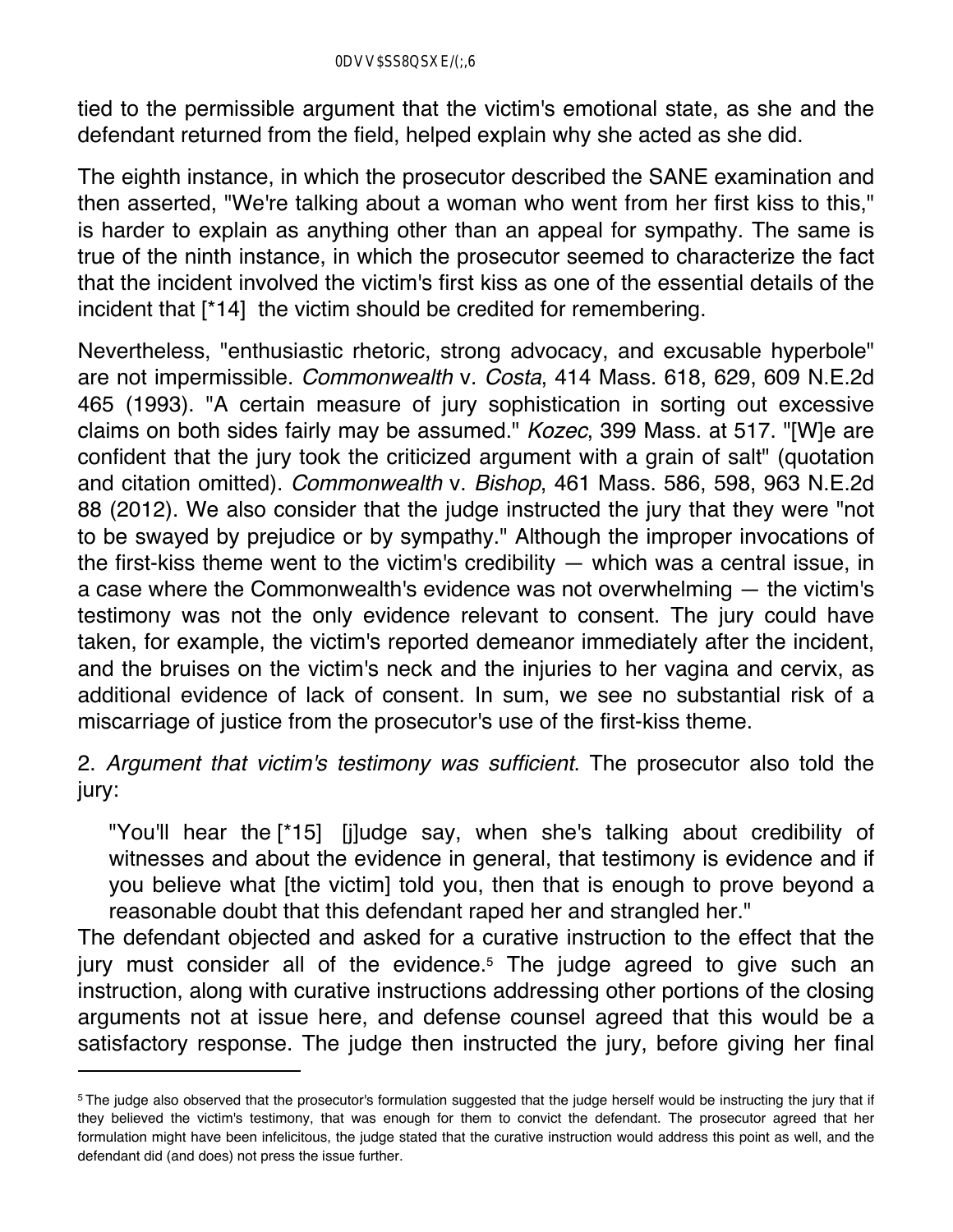tied to the permissible argument that the victim's emotional state, as she and the defendant returned from the field, helped explain why she acted as she did.

The eighth instance, in which the prosecutor described the SANE examination and then asserted, "We're talking about a woman who went from her first kiss to this," is harder to explain as anything other than an appeal for sympathy. The same is true of the ninth instance, in which the prosecutor seemed to characterize the fact that the incident involved the victim's first kiss as one of the essential details of the incident that [\*14] the victim should be credited for remembering.

Nevertheless, "enthusiastic rhetoric, strong advocacy, and excusable hyperbole" are not impermissible. *Commonwealth* v. *Costa*, 414 Mass. 618, 629, 609 N.E.2d 465 (1993). "A certain measure of jury sophistication in sorting out excessive claims on both sides fairly may be assumed." *Kozec*, 399 Mass. at 517. "[W]e are confident that the jury took the criticized argument with a grain of salt" (quotation and citation omitted). *Commonwealth* v. *Bishop*, 461 Mass. 586, 598, 963 N.E.2d 88 (2012). We also consider that the judge instructed the jury that they were "not to be swayed by prejudice or by sympathy." Although the improper invocations of the first-kiss theme went to the victim's credibility — which was a central issue, in a case where the Commonwealth's evidence was not overwhelming — the victim's testimony was not the only evidence relevant to consent. The jury could have taken, for example, the victim's reported demeanor immediately after the incident, and the bruises on the victim's neck and the injuries to her vagina and cervix, as additional evidence of lack of consent. In sum, we see no substantial risk of a miscarriage of justice from the prosecutor's use of the first-kiss theme.

## 2. *Argument that victim's testimony was sufficient*. The prosecutor also told the jury:

"You'll hear the [\*15] [j]udge say, when she's talking about credibility of witnesses and about the evidence in general, that testimony is evidence and if you believe what [the victim] told you, then that is enough to prove beyond a reasonable doubt that this defendant raped her and strangled her."

The defendant objected and asked for a curative instruction to the effect that the jury must consider all of the evidence.<sup>5</sup> The judge agreed to give such an instruction, along with curative instructions addressing other portions of the closing arguments not at issue here, and defense counsel agreed that this would be a satisfactory response. The judge then instructed the jury, before giving her final

<sup>&</sup>lt;sup>5</sup>The judge also observed that the prosecutor's formulation suggested that the judge herself would be instructing the jury that if they believed the victim's testimony, that was enough for them to convict the defendant. The prosecutor agreed that her formulation might have been infelicitous, the judge stated that the curative instruction would address this point as well, and the defendant did (and does) not press the issue further.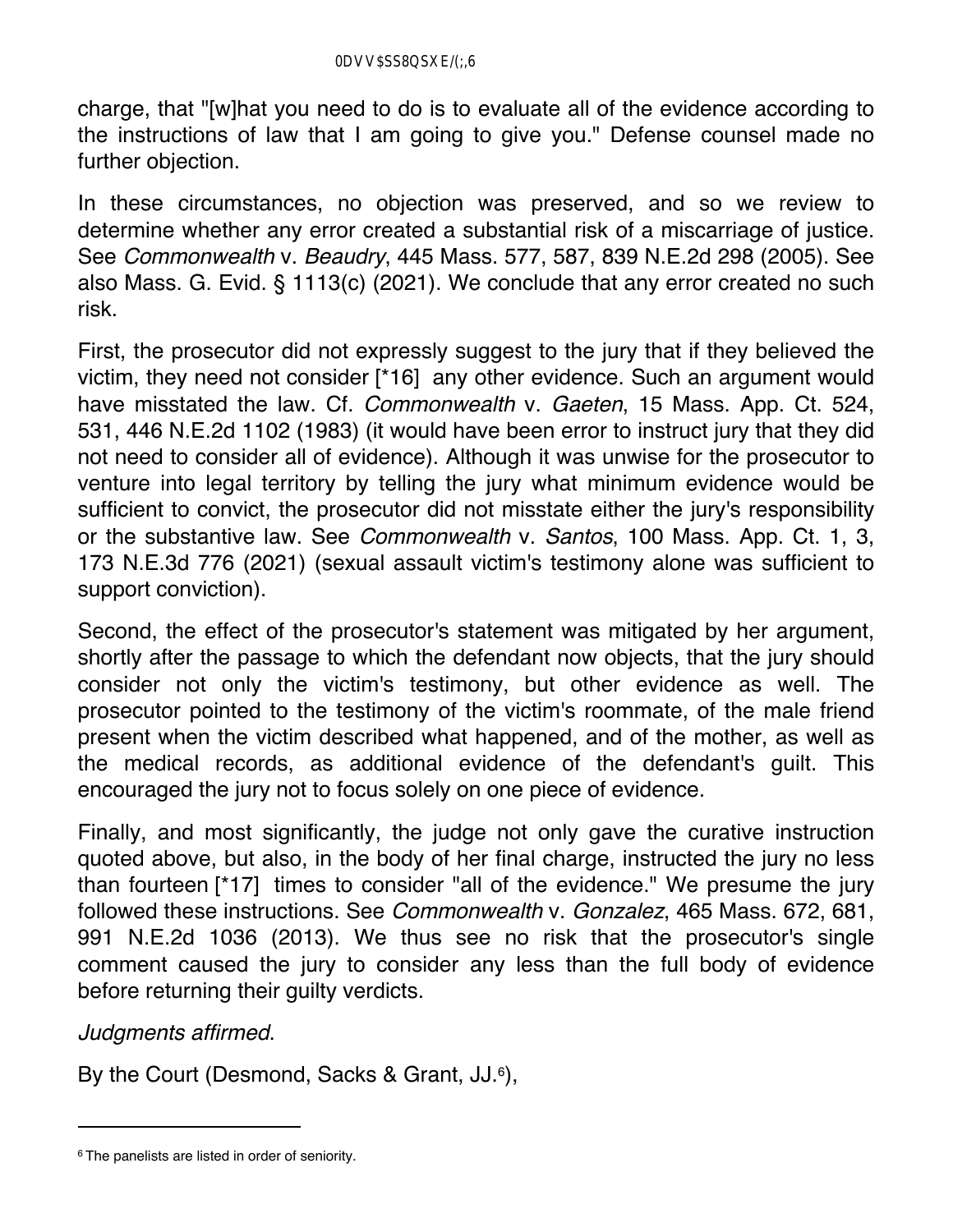charge, that "[w]hat you need to do is to evaluate all of the evidence according to the instructions of law that I am going to give you." Defense counsel made no further objection.

In these circumstances, no objection was preserved, and so we review to determine whether any error created a substantial risk of a miscarriage of justice. See *Commonwealth* v. *Beaudry*, 445 Mass. 577, 587, 839 N.E.2d 298 (2005). See also Mass. G. Evid. § 1113(c) (2021). We conclude that any error created no such risk.

First, the prosecutor did not expressly suggest to the jury that if they believed the victim, they need not consider [\*16] any other evidence. Such an argument would have misstated the law. Cf. *Commonwealth* v. *Gaeten*, 15 Mass. App. Ct. 524, 531, 446 N.E.2d 1102 (1983) (it would have been error to instruct jury that they did not need to consider all of evidence). Although it was unwise for the prosecutor to venture into legal territory by telling the jury what minimum evidence would be sufficient to convict, the prosecutor did not misstate either the jury's responsibility or the substantive law. See *Commonwealth* v. *Santos*, 100 Mass. App. Ct. 1, 3, 173 N.E.3d 776 (2021) (sexual assault victim's testimony alone was sufficient to support conviction).

Second, the effect of the prosecutor's statement was mitigated by her argument, shortly after the passage to which the defendant now objects, that the jury should consider not only the victim's testimony, but other evidence as well. The prosecutor pointed to the testimony of the victim's roommate, of the male friend present when the victim described what happened, and of the mother, as well as the medical records, as additional evidence of the defendant's guilt. This encouraged the jury not to focus solely on one piece of evidence.

Finally, and most significantly, the judge not only gave the curative instruction quoted above, but also, in the body of her final charge, instructed the jury no less than fourteen [\*17] times to consider "all of the evidence." We presume the jury followed these instructions. See *Commonwealth* v. *Gonzalez*, 465 Mass. 672, 681, 991 N.E.2d 1036 (2013). We thus see no risk that the prosecutor's single comment caused the jury to consider any less than the full body of evidence before returning their guilty verdicts.

*Judgments affirmed*.

By the Court (Desmond, Sacks & Grant, JJ.<sup>6</sup>),

<sup>&</sup>lt;sup>6</sup> The panelists are listed in order of seniority.